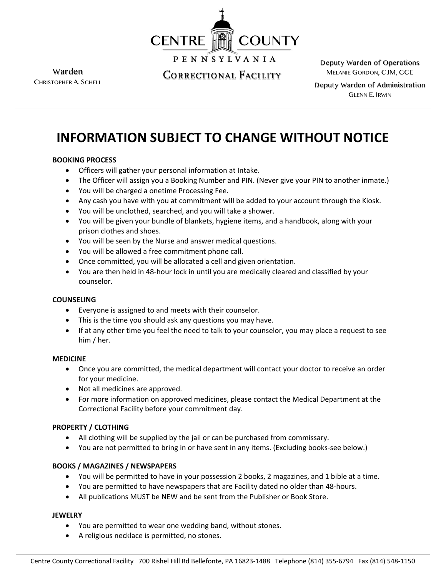

**PENNSYLVANIA** 

Warden CHRISTOPHER A. SCHELL

Correctional Facility

Deputy Warden of Operations MELANIE GORDON, CJM, CCE

Deputy Warden of Administration GLENN E. IRWIN

# **INFORMATION SUBJECT TO CHANGE WITHOUT NOTICE**

## **BOOKING PROCESS**

- Officers will gather your personal information at Intake.
- The Officer will assign you a Booking Number and PIN. (Never give your PIN to another inmate.)
- You will be charged a onetime Processing Fee.
- Any cash you have with you at commitment will be added to your account through the Kiosk.
- You will be unclothed, searched, and you will take a shower.
- You will be given your bundle of blankets, hygiene items, and a handbook, along with your prison clothes and shoes.
- You will be seen by the Nurse and answer medical questions.
- You will be allowed a free commitment phone call.
- Once committed, you will be allocated a cell and given orientation.
- You are then held in 48-hour lock in until you are medically cleared and classified by your counselor.

### **COUNSELING**

- Everyone is assigned to and meets with their counselor.
- This is the time you should ask any questions you may have.
- If at any other time you feel the need to talk to your counselor, you may place a request to see him / her.

### **MEDICINE**

- Once you are committed, the medical department will contact your doctor to receive an order for your medicine.
- Not all medicines are approved.
- For more information on approved medicines, please contact the Medical Department at the Correctional Facility before your commitment day.

### **PROPERTY / CLOTHING**

- All clothing will be supplied by the jail or can be purchased from commissary.
- You are not permitted to bring in or have sent in any items. (Excluding books-see below.)

### **BOOKS / MAGAZINES / NEWSPAPERS**

- You will be permitted to have in your possession 2 books, 2 magazines, and 1 bible at a time.
- You are permitted to have newspapers that are Facility dated no older than 48-hours.
- All publications MUST be NEW and be sent from the Publisher or Book Store.

### **JEWELRY**

- You are permitted to wear one wedding band, without stones.
- A religious necklace is permitted, no stones.